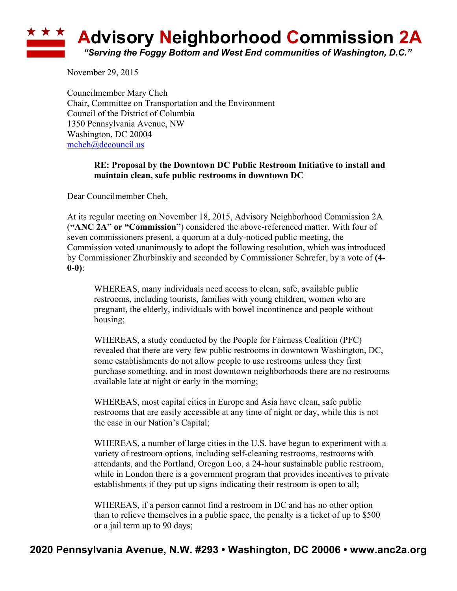## ★ ★ ★ **Advisory Neighborhood Commission 2A** *"Serving the Foggy Bottom and West End communities of Washington, D.C."*

November 29, 2015

Councilmember Mary Cheh Chair, Committee on Transportation and the Environment Council of the District of Columbia 1350 Pennsylvania Avenue, NW Washington, DC 20004 mcheh@dccouncil.us

## **RE: Proposal by the Downtown DC Public Restroom Initiative to install and maintain clean, safe public restrooms in downtown DC**

Dear Councilmember Cheh,

At its regular meeting on November 18, 2015, Advisory Neighborhood Commission 2A (**"ANC 2A" or "Commission"**) considered the above-referenced matter. With four of seven commissioners present, a quorum at a duly-noticed public meeting, the Commission voted unanimously to adopt the following resolution, which was introduced by Commissioner Zhurbinskiy and seconded by Commissioner Schrefer, by a vote of **(4- 0-0)**:

WHEREAS, many individuals need access to clean, safe, available public restrooms, including tourists, families with young children, women who are pregnant, the elderly, individuals with bowel incontinence and people without housing;

WHEREAS, a study conducted by the People for Fairness Coalition (PFC) revealed that there are very few public restrooms in downtown Washington, DC, some establishments do not allow people to use restrooms unless they first purchase something, and in most downtown neighborhoods there are no restrooms available late at night or early in the morning;

WHEREAS, most capital cities in Europe and Asia have clean, safe public restrooms that are easily accessible at any time of night or day, while this is not the case in our Nation's Capital;

WHEREAS, a number of large cities in the U.S. have begun to experiment with a variety of restroom options, including self-cleaning restrooms, restrooms with attendants, and the Portland, Oregon Loo, a 24-hour sustainable public restroom, while in London there is a government program that provides incentives to private establishments if they put up signs indicating their restroom is open to all;

WHEREAS, if a person cannot find a restroom in DC and has no other option than to relieve themselves in a public space, the penalty is a ticket of up to \$500 or a jail term up to 90 days;